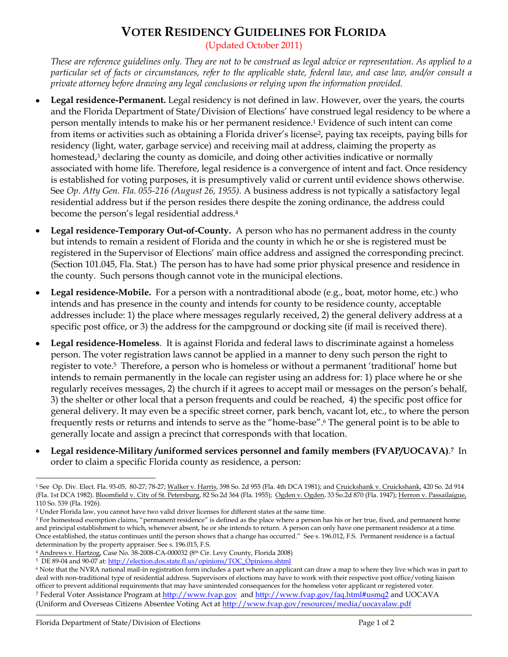## **VOTER RESIDENCY GUIDELINES FOR FLORIDA**

(Updated October 2011)

*These are reference guidelines only. They are not to be construed as legal advice or representation. As applied to a particular set of facts or circumstances, refer to the applicable state, federal law, and case law, and/or consult a private attorney before drawing any legal conclusions or relying upon the information provided.*

- **Legal residence-Permanent.** Legal residency is not defined in law. However, over the years, the courts and the Florida Department of State/Division of Elections" have construed legal residency to be where a person mentally intends to make his or her permanent residence.<sup>1</sup> Evidence of such intent can come from items or activities such as obtaining a Florida driver's license<sup>2</sup>, paying tax receipts, paying bills for residency (light, water, garbage service) and receiving mail at address, claiming the property as homestead, <sup>3</sup> declaring the county as domicile, and doing other activities indicative or normally associated with home life. Therefore, legal residence is a convergence of intent and fact. Once residency is established for voting purposes, it is presumptively valid or current until evidence shows otherwise. See *Op. Atty Gen. Fla. 055-216 (August 26, 1955).* A business address is not typically a satisfactory legal residential address but if the person resides there despite the zoning ordinance, the address could become the person"s legal residential address.<sup>4</sup>
- **Legal residence-Temporary Out-of-County.** A person who has no permanent address in the county  $\bullet$ but intends to remain a resident of Florida and the county in which he or she is registered must be registered in the Supervisor of Elections" main office address and assigned the corresponding precinct. (Section 101.045, Fla. Stat.) The person has to have had some prior physical presence and residence in the county. Such persons though cannot vote in the municipal elections.
- **Legal residence-Mobile.** For a person with a nontraditional abode (e.g., boat, motor home, etc.) who  $\bullet$ intends and has presence in the county and intends for county to be residence county, acceptable addresses include: 1) the place where messages regularly received, 2) the general delivery address at a specific post office, or 3) the address for the campground or docking site (if mail is received there).
- **Legal residence-Homeless**. It is against Florida and federal laws to discriminate against a homeless person. The voter registration laws cannot be applied in a manner to deny such person the right to register to vote.<sup>5</sup> Therefore, a person who is homeless or without a permanent 'traditional' home but intends to remain permanently in the locale can register using an address for: 1) place where he or she regularly receives messages, 2) the church if it agrees to accept mail or messages on the person"s behalf, 3) the shelter or other local that a person frequents and could be reached, 4) the specific post office for general delivery. It may even be a specific street corner, park bench, vacant lot, etc., to where the person frequently rests or returns and intends to serve as the "home-base". <sup>6</sup> The general point is to be able to generally locate and assign a precinct that corresponds with that location.
- **Legal residence-Military /uniformed services personnel and family members (FVAP/UOCAVA)**. **<sup>7</sup>** In order to claim a specific Florida county as residence, a person:

 $\overline{a}$ 1 See Op. Div. Elect. Fla. 93-05, 80-27; 78-27; Walker v. Harris, 398 So. 2d 955 (Fla. 4th DCA 1981); and Cruickshank v. Cruickshank, 420 So. 2d 914 (Fla. 1st DCA 1982). Bloomfield v. City of St. Petersburg, 82 So.2d 364 (Fla. 1955); Ogden v. Ogden, 33 So.2d 870 (Fla. 1947); Herron v. Passailaigue, 110 So. 539 (Fla. 1926).

<sup>2</sup> Under Florida law, you cannot have two valid driver licenses for different states at the same time.

<sup>&</sup>lt;sup>3</sup> For homestead exemption claims, "permanent residence" is defined as the place where a person has his or her true, fixed, and permanent home and principal establishment to which, whenever absent, he or she intends to return. A person can only have one permanent residence at a time. Once established, the status continues until the person shows that a change has occurred." See s. 196.012, F.S. Permanent residence is a factual determination by the property appraiser. See s. 196.015, F.S.

<sup>&</sup>lt;sup>4</sup> Andrews v. Hartzog, Case No. 38-2008-CA-000032 (8<sup>th</sup> Cir. Levy County, Florida 2008)

<sup>5</sup> DE 89-04 and 90-07 at[: http://election.dos.state.fl.us/opinions/TOC\\_Opinions.shtml](http://election.dos.state.fl.us/opinions/TOC_Opinions.shtml)

<sup>&</sup>lt;sup>6</sup> Note that the NVRA national mail-in registration form includes a part where an applicant can draw a map to where they live which was in part to deal with non-traditional type of residential address. Supervisors of elections may have to work with their respective post office/voting liaison officer to prevent additional requirements that may have unintended consequences for the homeless voter applicant or registered voter. <sup>7</sup> Federal Voter Assistance Program at [http://www.fvap.gov](http://www.fvap.gov/) and<http://www.fvap.gov/faq.html#usmq2> and UOCAVA (Uniform and Overseas Citizens Absentee Voting Act at<http://www.fvap.gov/resources/media/uocavalaw.pdf>